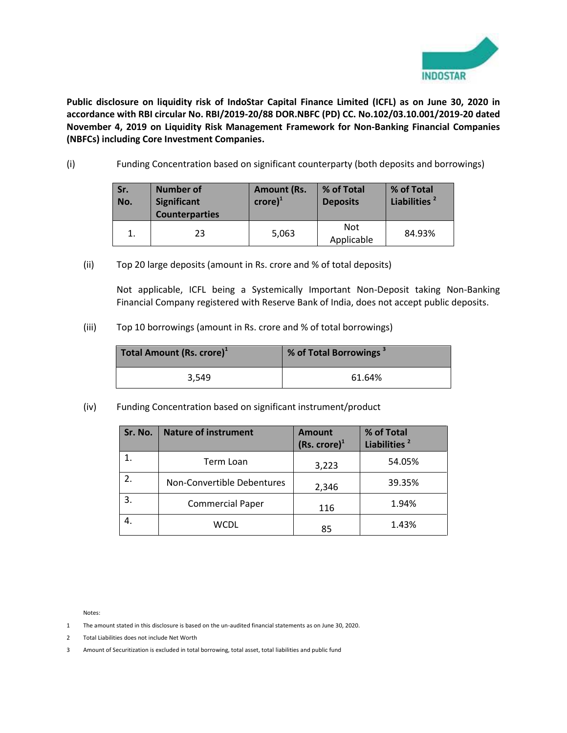

**Public disclosure on liquidity risk of IndoStar Capital Finance Limited (ICFL) as on June 30, 2020 in accordance with RBI circular No. RBI/2019-20/88 DOR.NBFC (PD) CC. No.102/03.10.001/2019-20 dated November 4, 2019 on Liquidity Risk Management Framework for Non-Banking Financial Companies (NBFCs) including Core Investment Companies.** 

(i) Funding Concentration based on significant counterparty (both deposits and borrowings)

| Sr.<br>No. | <b>Number of</b><br><b>Significant</b><br><b>Counterparties</b> | <b>Amount (Rs.</b><br>$\mathsf{crore}\mathsf{)}^1$ | % of Total<br><b>Deposits</b> | % of Total<br>Liabilities <sup>2</sup> |
|------------|-----------------------------------------------------------------|----------------------------------------------------|-------------------------------|----------------------------------------|
|            | 23                                                              | 5,063                                              | Not<br>Applicable             | 84.93%                                 |

(ii) Top 20 large deposits (amount in Rs. crore and % of total deposits)

Not applicable, ICFL being a Systemically Important Non-Deposit taking Non-Banking Financial Company registered with Reserve Bank of India, does not accept public deposits.

(iii) Top 10 borrowings (amount in Rs. crore and % of total borrowings)

| Total Amount (Rs. crore) <sup>1</sup> | % of Total Borrowings <sup>3</sup> |
|---------------------------------------|------------------------------------|
| 3.549                                 | 61.64%                             |

(iv) Funding Concentration based on significant instrument/product

| Sr. No. | <b>Nature of instrument</b> | <b>Amount</b><br>$(Rs. \, \text{core})^1$ | % of Total<br>Liabilities <sup>2</sup> |
|---------|-----------------------------|-------------------------------------------|----------------------------------------|
|         | Term Loan                   | 3,223                                     | 54.05%                                 |
| 2.      | Non-Convertible Debentures  | 2,346                                     | 39.35%                                 |
| 3.      | <b>Commercial Paper</b>     | 116                                       | 1.94%                                  |
|         | WCDL                        | 85                                        | 1.43%                                  |

Notes:

- 1 The amount stated in this disclosure is based on the un-audited financial statements as on June 30, 2020.
- 2 Total Liabilities does not include Net Worth
- 3 Amount of Securitization is excluded in total borrowing, total asset, total liabilities and public fund